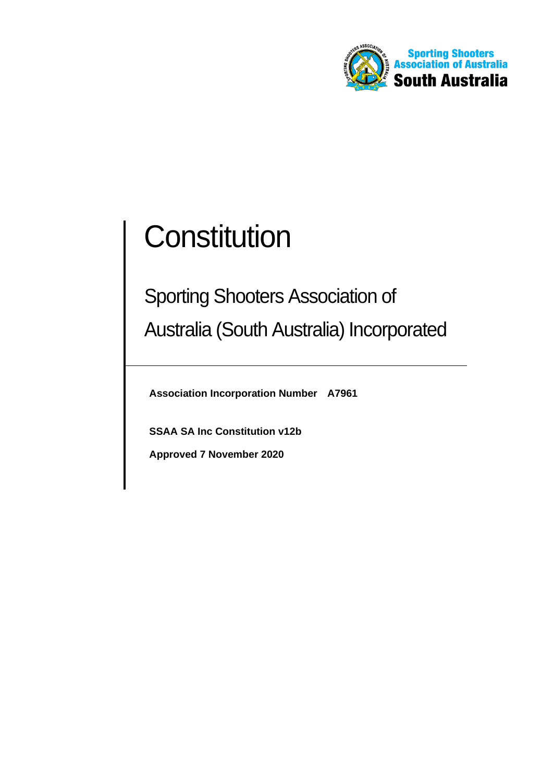

# **Constitution**

## Sporting Shooters Association of Australia (South Australia) Incorporated

**Association Incorporation Number A7961**

**SSAA SA Inc Constitution v12b** 

**Approved 7 November 2020**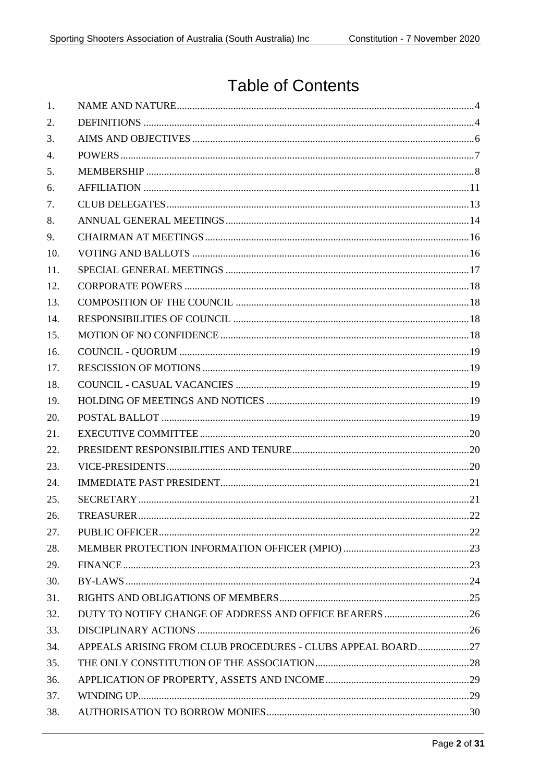### **Table of Contents**

| APPEALS ARISING FROM CLUB PROCEDURES - CLUBS APPEAL BOARD27 |
|-------------------------------------------------------------|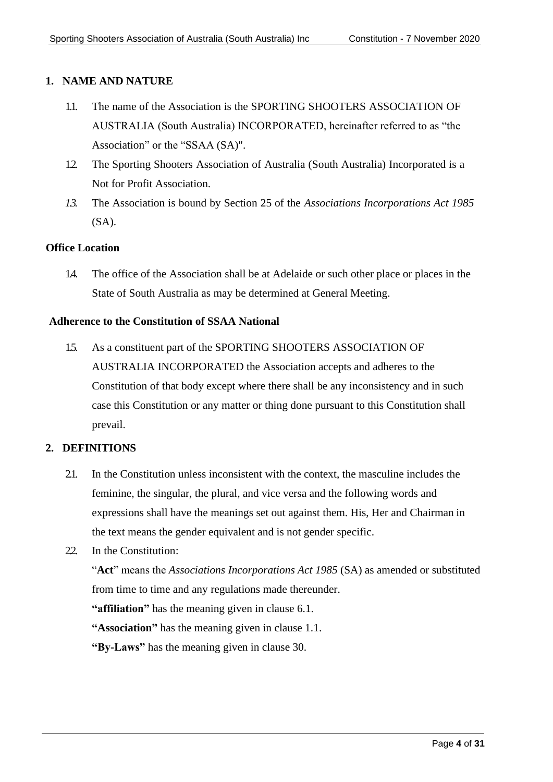#### <span id="page-3-2"></span><span id="page-3-0"></span>**1. NAME AND NATURE**

- 1.1. The name of the Association is the SPORTING SHOOTERS ASSOCIATION OF AUSTRALIA (South Australia) INCORPORATED, hereinafter referred to as "the Association" or the "SSAA (SA)".
- 1.2. The Sporting Shooters Association of Australia (South Australia) Incorporated is a Not for Profit Association.
- *1.3.* The Association is bound by Section 25 of the *Associations Incorporations Act 1985*  $(SA)$ .

#### **Office Location**

1.4. The office of the Association shall be at Adelaide or such other place or places in the State of South Australia as may be determined at General Meeting.

#### **Adherence to the Constitution of SSAA National**

1.5. As a constituent part of the SPORTING SHOOTERS ASSOCIATION OF AUSTRALIA INCORPORATED the Association accepts and adheres to the Constitution of that body except where there shall be any inconsistency and in such case this Constitution or any matter or thing done pursuant to this Constitution shall prevail.

#### <span id="page-3-1"></span>**2. DEFINITIONS**

2.1. In the Constitution unless inconsistent with the context, the masculine includes the feminine, the singular, the plural, and vice versa and the following words and expressions shall have the meanings set out against them. His, Her and Chairman in the text means the gender equivalent and is not gender specific.

#### 2.2. In the Constitution:

"**Act**" means the *Associations Incorporations Act 1985* (SA) as amended or substituted from time to time and any regulations made thereunder.

**"affiliation"** has the meaning given in clause [6.1.](#page-10-1)

**"Association"** has the meaning given in clause [1.1.](#page-3-2)

**"By-Laws"** has the meaning given in clause 30.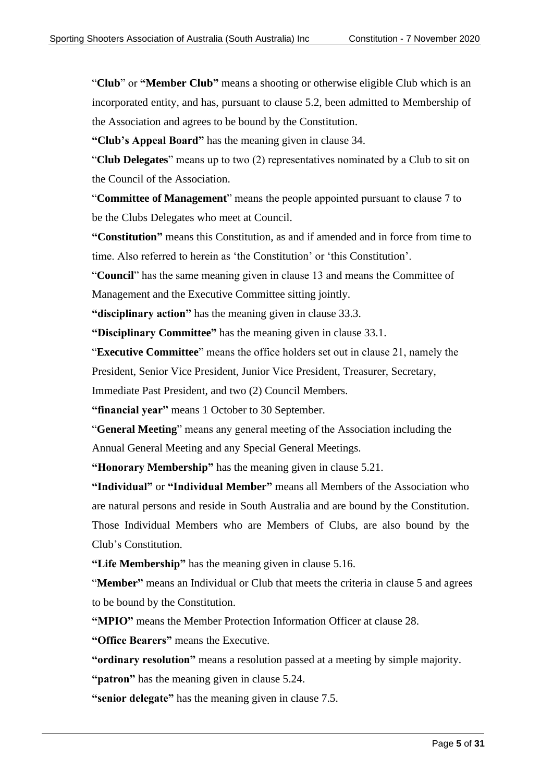"**Club**" or **"Member Club"** means a shooting or otherwise eligible Club which is an incorporated entity, and has, pursuant to clause 5.2, been admitted to Membership of the Association and agrees to be bound by the Constitution.

**"Club's Appeal Board"** has the meaning given in clause 34.

"**Club Delegates**" means up to two (2) representatives nominated by a Club to sit on the Council of the Association.

"**Committee of Management**" means the people appointed pursuant to clause 7 to be the Clubs Delegates who meet at Council.

**"Constitution"** means this Constitution, as and if amended and in force from time to time. Also referred to herein as 'the Constitution' or 'this Constitution'.

"**Council**" has the same meaning given in clause 13 and means the Committee of Management and the Executive Committee sitting jointly.

**"disciplinary action"** has the meaning given in clause [33.3.](#page-25-2)

**"Disciplinary Committee"** has the meaning given in clause [33.1.](#page-25-3)

"**Executive Committee**" means the office holders set out in clause 21, namely the President, Senior Vice President, Junior Vice President, Treasurer, Secretary,

Immediate Past President, and two (2) Council Members.

**"financial year"** means 1 October to 30 September.

"**General Meeting**" means any general meeting of the Association including the Annual General Meeting and any Special General Meetings.

**"Honorary Membership"** has the meaning given in clause [5.21.](#page-10-2)

**"Individual"** or **"Individual Member"** means all Members of the Association who are natural persons and reside in South Australia and are bound by the Constitution. Those Individual Members who are Members of Clubs, are also bound by the Club's Constitution.

**"Life Membership"** has the meaning given in clause [5.16.](#page-9-0)

"**Member"** means an Individual or Club that meets the criteria in clause 5 and agrees to be bound by the Constitution.

**"MPIO"** means the Member Protection Information Officer at clause 28.

**"Office Bearers"** means the Executive.

**"ordinary resolution"** means a resolution passed at a meeting by simple majority.

**"patron"** has the meaning given in [clause 5.24.](#page-10-3)

**"senior delegate"** has the meaning given in clau[se 7.5.](#page-13-1)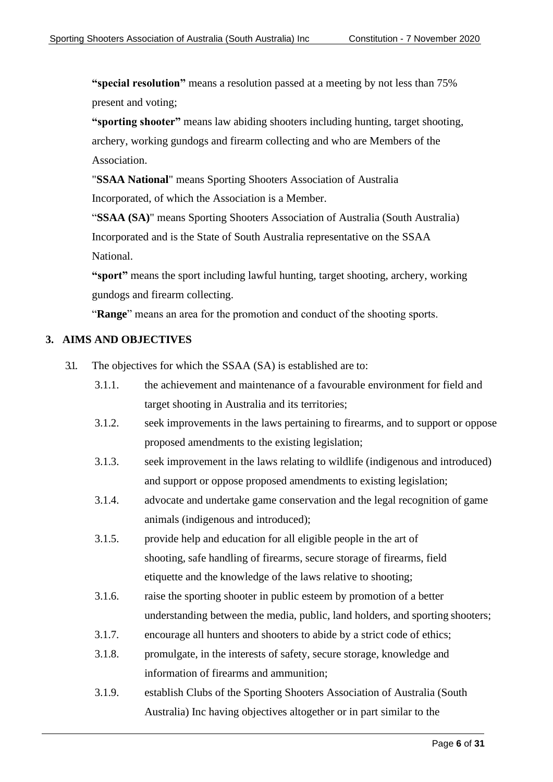**"special resolution"** means a resolution passed at a meeting by not less than 75% present and voting;

**"sporting shooter"** means law abiding shooters including hunting, target shooting, archery, working gundogs and firearm collecting and who are Members of the Association.

"**SSAA National**" means Sporting Shooters Association of Australia Incorporated, of which the Association is a Member.

"**SSAA (SA)**" means Sporting Shooters Association of Australia (South Australia) Incorporated and is the State of South Australia representative on the SSAA National.

**"sport"** means the sport including lawful hunting, target shooting, archery, working gundogs and firearm collecting.

"**Range**" means an area for the promotion and conduct of the shooting sports.

#### <span id="page-5-0"></span>**3. AIMS AND OBJECTIVES**

- 3.1. The objectives for which the SSAA (SA) is established are to:
	- 3.1.1. the achievement and maintenance of a favourable environment for field and target shooting in Australia and its territories;
	- 3.1.2. seek improvements in the laws pertaining to firearms, and to support or oppose proposed amendments to the existing legislation;
	- 3.1.3. seek improvement in the laws relating to wildlife (indigenous and introduced) and support or oppose proposed amendments to existing legislation;
	- 3.1.4. advocate and undertake game conservation and the legal recognition of game animals (indigenous and introduced);
	- 3.1.5. provide help and education for all eligible people in the art of shooting, safe handling of firearms, secure storage of firearms, field etiquette and the knowledge of the laws relative to shooting;
	- 3.1.6. raise the sporting shooter in public esteem by promotion of a better understanding between the media, public, land holders, and sporting shooters;
	- 3.1.7. encourage all hunters and shooters to abide by a strict code of ethics;
	- 3.1.8. promulgate, in the interests of safety, secure storage, knowledge and information of firearms and ammunition;
	- 3.1.9. establish Clubs of the Sporting Shooters Association of Australia (South Australia) Inc having objectives altogether or in part similar to the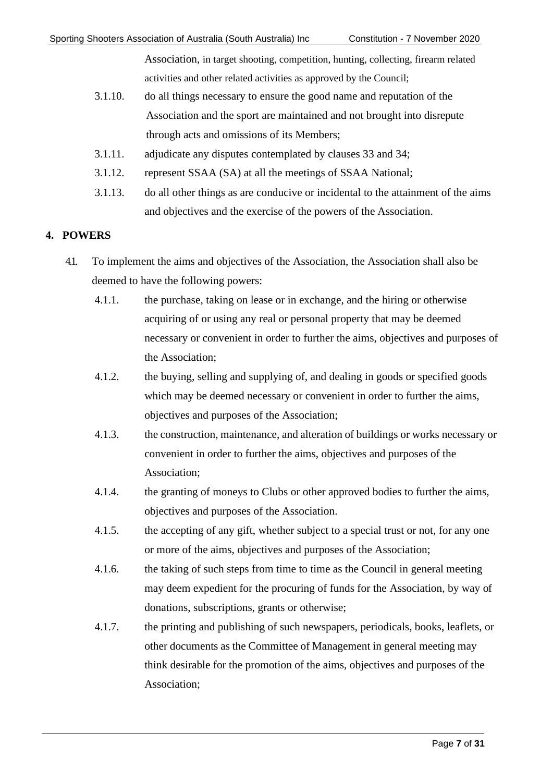Association, in target shooting, competition, hunting, collecting, firearm related activities and other related activities as approved by the Council;

- 3.1.10. do all things necessary to ensure the good name and reputation of the Association and the sport are maintained and not brought into disrepute through acts and omissions of its Members;
- 3.1.11. adjudicate any disputes contemplated by clauses 33 and 34;
- 3.1.12. represent SSAA (SA) at all the meetings of SSAA National;
- 3.1.13. do all other things as are conducive or incidental to the attainment of the aims and objectives and the exercise of the powers of the Association.

#### <span id="page-6-0"></span>**4. POWERS**

- 4.1. To implement the aims and objectives of the Association, the Association shall also be deemed to have the following powers:
	- 4.1.1. the purchase, taking on lease or in exchange, and the hiring or otherwise acquiring of or using any real or personal property that may be deemed necessary or convenient in order to further the aims, objectives and purposes of the Association;
	- 4.1.2. the buying, selling and supplying of, and dealing in goods or specified goods which may be deemed necessary or convenient in order to further the aims, objectives and purposes of the Association;
	- 4.1.3. the construction, maintenance, and alteration of buildings or works necessary or convenient in order to further the aims, objectives and purposes of the Association;
	- 4.1.4. the granting of moneys to Clubs or other approved bodies to further the aims, objectives and purposes of the Association.
	- 4.1.5. the accepting of any gift, whether subject to a special trust or not, for any one or more of the aims, objectives and purposes of the Association;
	- 4.1.6. the taking of such steps from time to time as the Council in general meeting may deem expedient for the procuring of funds for the Association, by way of donations, subscriptions, grants or otherwise;
	- 4.1.7. the printing and publishing of such newspapers, periodicals, books, leaflets, or other documents as the Committee of Management in general meeting may think desirable for the promotion of the aims, objectives and purposes of the Association;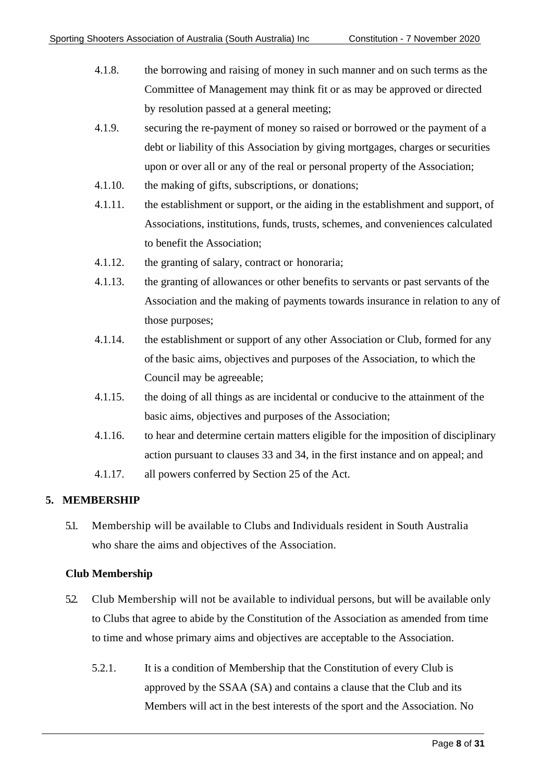- 4.1.8. the borrowing and raising of money in such manner and on such terms as the Committee of Management may think fit or as may be approved or directed by resolution passed at a general meeting;
- 4.1.9. securing the re-payment of money so raised or borrowed or the payment of a debt or liability of this Association by giving mortgages, charges or securities upon or over all or any of the real or personal property of the Association;
- 4.1.10. the making of gifts, subscriptions, or donations;
- 4.1.11. the establishment or support, or the aiding in the establishment and support, of Associations, institutions, funds, trusts, schemes, and conveniences calculated to benefit the Association;
- 4.1.12. the granting of salary, contract or honoraria;
- 4.1.13. the granting of allowances or other benefits to servants or past servants of the Association and the making of payments towards insurance in relation to any of those purposes;
- 4.1.14. the establishment or support of any other Association or Club, formed for any of the basic aims, objectives and purposes of the Association, to which the Council may be agreeable;
- 4.1.15. the doing of all things as are incidental or conducive to the attainment of the basic aims, objectives and purposes of the Association;
- 4.1.16. to hear and determine certain matters eligible for the imposition of disciplinary action pursuant to clauses 33 and 34, in the first instance and on appeal; and
- 4.1.17. all powers conferred by Section 25 of the Act.

#### <span id="page-7-0"></span>**5. MEMBERSHIP**

5.1. Membership will be available to Clubs and Individuals resident in South Australia who share the aims and objectives of the Association.

#### **Club Membership**

- 5.2. Club Membership will not be available to individual persons, but will be available only to Clubs that agree to abide by the Constitution of the Association as amended from time to time and whose primary aims and objectives are acceptable to the Association.
	- 5.2.1. It is a condition of Membership that the Constitution of every Club is approved by the SSAA (SA) and contains a clause that the Club and its Members will act in the best interests of the sport and the Association. No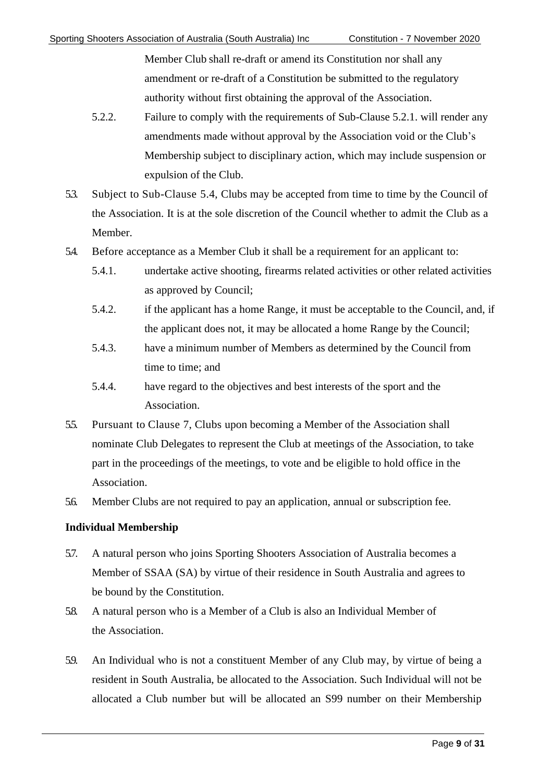Member Club shall re-draft or amend its Constitution nor shall any amendment or re-draft of a Constitution be submitted to the regulatory authority without first obtaining the approval of the Association.

- 5.2.2. Failure to comply with the requirements of Sub-Clause 5.2.1. will render any amendments made without approval by the Association void or the Club's Membership subject to disciplinary action, which may include suspension or expulsion of the Club.
- 5.3. Subject to Sub-Clause 5.4, Clubs may be accepted from time to time by the Council of the Association. It is at the sole discretion of the Council whether to admit the Club as a Member.
- 5.4. Before acceptance as a Member Club it shall be a requirement for an applicant to:
	- 5.4.1. undertake active shooting, firearms related activities or other related activities as approved by Council;
	- 5.4.2. if the applicant has a home Range, it must be acceptable to the Council, and, if the applicant does not, it may be allocated a home Range by the Council;
	- 5.4.3. have a minimum number of Members as determined by the Council from time to time; and
	- 5.4.4. have regard to the objectives and best interests of the sport and the Association.
- 5.5. Pursuant to Clause 7, Clubs upon becoming a Member of the Association shall nominate Club Delegates to represent the Club at meetings of the Association, to take part in the proceedings of the meetings, to vote and be eligible to hold office in the Association.
- 5.6. Member Clubs are not required to pay an application, annual or subscription fee.

#### **Individual Membership**

- 5.7. A natural person who joins Sporting Shooters Association of Australia becomes a Member of SSAA (SA) by virtue of their residence in South Australia and agrees to be bound by the Constitution.
- 5.8. A natural person who is a Member of a Club is also an Individual Member of the Association.
- 59. An Individual who is not a constituent Member of any Club may, by virtue of being a resident in South Australia, be allocated to the Association. Such Individual will not be allocated a Club number but will be allocated an S99 number on their Membership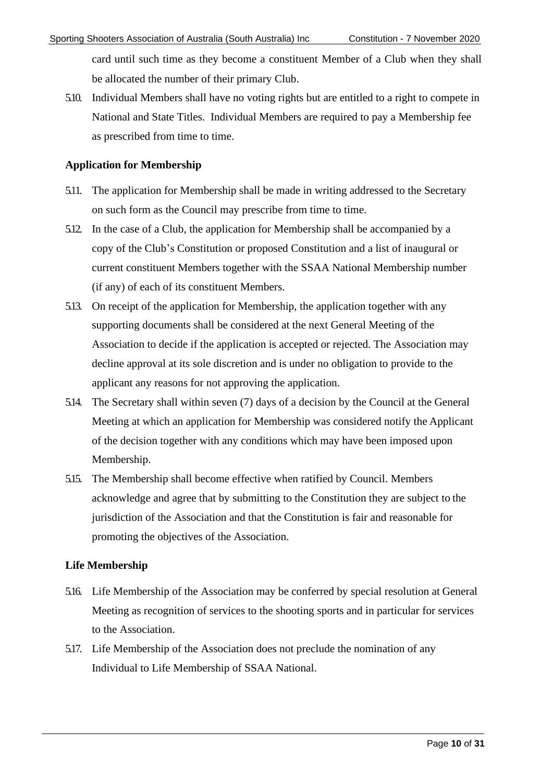card until such time as they become a constituent Member of a Club when they shall be allocated the number of their primary Club.

5.10. Individual Members shall have no voting rights but are entitled to a right to compete in National and State Titles. Individual Members are required to pay a Membership fee as prescribed from time to time.

#### **Application for Membership**

- 5.11. The application for Membership shall be made in writing addressed to the Secretary on such form as the Council may prescribe from time to time.
- 5.12. In the case of a Club, the application for Membership shall be accompanied by a copy of the Club's Constitution or proposed Constitution and a list of inaugural or current constituent Members together with the SSAA National Membership number (if any) of each of its constituent Members.
- 5.13. On receipt of the application for Membership, the application together with any supporting documents shall be considered at the next General Meeting of the Association to decide if the application is accepted or rejected. The Association may decline approval at its sole discretion and is under no obligation to provide to the applicant any reasons for not approving the application.
- 5.14. The Secretary shall within seven (7) days of a decision by the Council at the General Meeting at which an application for Membership was considered notify the Applicant of the decision together with any conditions which may have been imposed upon Membership.
- 5.15. The Membership shall become effective when ratified by Council. Members acknowledge and agree that by submitting to the Constitution they are subject to the jurisdiction of the Association and that the Constitution is fair and reasonable for promoting the objectives of the Association.

#### **Life Membership**

- <span id="page-9-0"></span>5.16. Life Membership of the Association may be conferred by special resolution at General Meeting as recognition of services to the shooting sports and in particular for services to the Association.
- 5.17. Life Membership of the Association does not preclude the nomination of any Individual to Life Membership of SSAA National.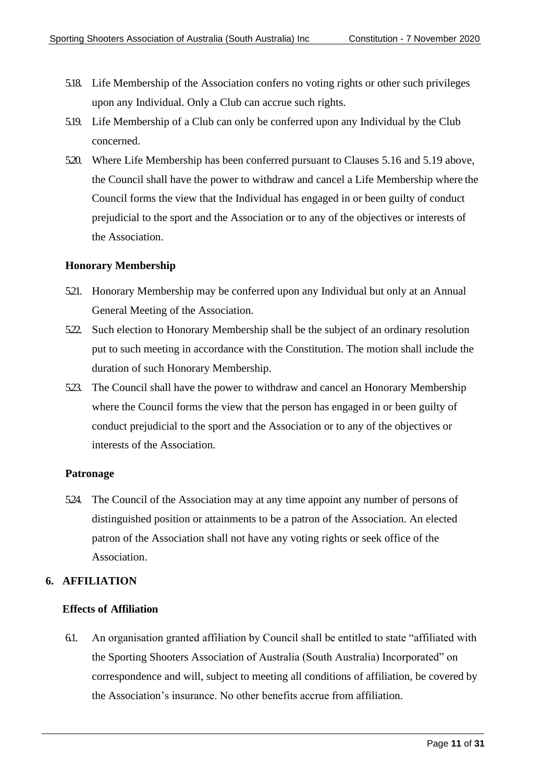- 5.18. Life Membership of the Association confers no voting rights or other such privileges upon any Individual. Only a Club can accrue such rights.
- <span id="page-10-4"></span>5.19. Life Membership of a Club can only be conferred upon any Individual by the Club concerned.
- 5.20. Where Life Membership has been conferred pursuant to Clauses [5.16 a](#page-9-0)nd [5.19](#page-10-4) above, the Council shall have the power to withdraw and cancel a Life Membership where the Council forms the view that the Individual has engaged in or been guilty of conduct prejudicial to the sport and the Association or to any of the objectives or interests of the Association.

#### **Honorary Membership**

- <span id="page-10-2"></span>5.21. Honorary Membership may be conferred upon any Individual but only at an Annual General Meeting of the Association.
- 5.22. Such election to Honorary Membership shall be the subject of an ordinary resolution put to such meeting in accordance with the Constitution. The motion shall include the duration of such Honorary Membership.
- 5.23. The Council shall have the power to withdraw and cancel an Honorary Membership where the Council forms the view that the person has engaged in or been guilty of conduct prejudicial to the sport and the Association or to any of the objectives or interests of the Association.

#### **Patronage**

<span id="page-10-3"></span>5.24. The Council of the Association may at any time appoint any number of persons of distinguished position or attainments to be a patron of the Association. An elected patron of the Association shall not have any voting rights or seek office of the Association.

#### <span id="page-10-0"></span>**6. AFFILIATION**

#### **Effects of Affiliation**

<span id="page-10-1"></span>6.1. An organisation granted affiliation by Council shall be entitled to state "affiliated with the Sporting Shooters Association of Australia (South Australia) Incorporated" on correspondence and will, subject to meeting all conditions of affiliation, be covered by the Association's insurance. No other benefits accrue from affiliation.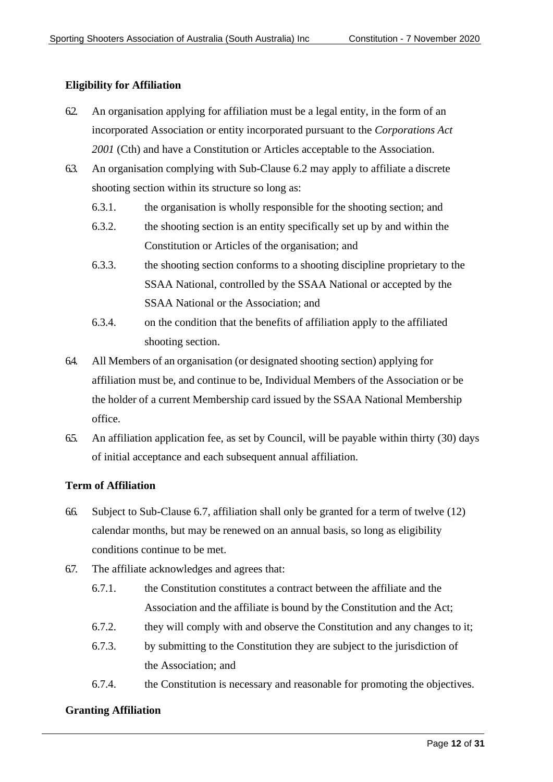#### **Eligibility for Affiliation**

- 6.2. An organisation applying for affiliation must be a legal entity, in the form of an incorporated Association or entity incorporated pursuant to the *Corporations Act 2001* (Cth) and have a Constitution or Articles acceptable to the Association.
- 6.3. An organisation complying with Sub-Clause 6.2 may apply to affiliate a discrete shooting section within its structure so long as:
	- 6.3.1. the organisation is wholly responsible for the shooting section; and
	- 6.3.2. the shooting section is an entity specifically set up by and within the Constitution or Articles of the organisation; and
	- 6.3.3. the shooting section conforms to a shooting discipline proprietary to the SSAA National, controlled by the SSAA National or accepted by the SSAA National or the Association; and
	- 6.3.4. on the condition that the benefits of affiliation apply to the affiliated shooting section.
- 6.4. All Members of an organisation (or designated shooting section) applying for affiliation must be, and continue to be, Individual Members of the Association or be the holder of a current Membership card issued by the SSAA National Membership office.
- 6.5. An affiliation application fee, as set by Council, will be payable within thirty (30) days of initial acceptance and each subsequent annual affiliation.

#### **Term of Affiliation**

- 6.6. Subject to Sub-Clause 6.7, affiliation shall only be granted for a term of twelve (12) calendar months, but may be renewed on an annual basis, so long as eligibility conditions continue to be met.
- 6.7. The affiliate acknowledges and agrees that:
	- 6.7.1. the Constitution constitutes a contract between the affiliate and the Association and the affiliate is bound by the Constitution and the Act;
	- 6.7.2. they will comply with and observe the Constitution and any changes to it;
	- 6.7.3. by submitting to the Constitution they are subject to the jurisdiction of the Association; and
	- 6.7.4. the Constitution is necessary and reasonable for promoting the objectives.

#### **Granting Affiliation**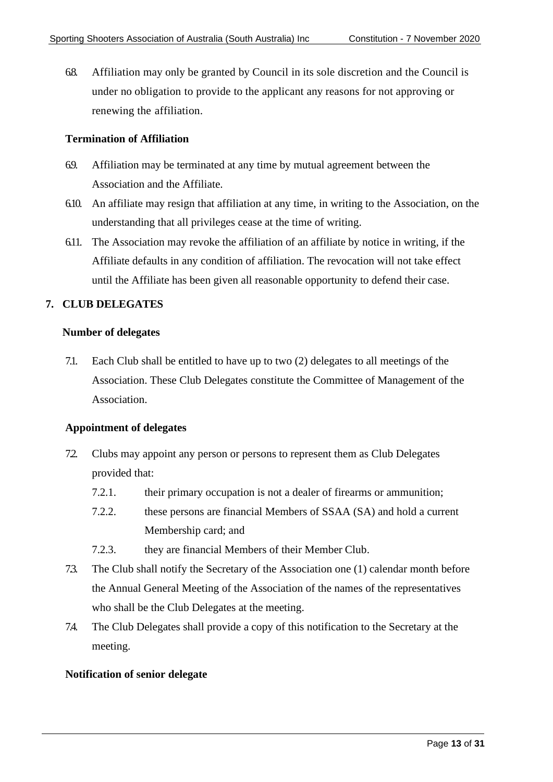6.8. Affiliation may only be granted by Council in its sole discretion and the Council is under no obligation to provide to the applicant any reasons for not approving or renewing the affiliation.

#### **Termination of Affiliation**

- 6.9. Affiliation may be terminated at any time by mutual agreement between the Association and the Affiliate.
- 6.10. An affiliate may resign that affiliation at any time, in writing to the Association, on the understanding that all privileges cease at the time of writing.
- 6.11. The Association may revoke the affiliation of an affiliate by notice in writing, if the Affiliate defaults in any condition of affiliation. The revocation will not take effect until the Affiliate has been given all reasonable opportunity to defend their case.

#### <span id="page-12-0"></span>**7. CLUB DELEGATES**

#### **Number of delegates**

7.1. Each Club shall be entitled to have up to two (2) delegates to all meetings of the Association. These Club Delegates constitute the Committee of Management of the Association.

#### **Appointment of delegates**

- 7.2. Clubs may appoint any person or persons to represent them as Club Delegates provided that:
	- 7.2.1. their primary occupation is not a dealer of firearms or ammunition;
	- 7.2.2. these persons are financial Members of SSAA (SA) and hold a current Membership card; and
	- 7.2.3. they are financial Members of their Member Club.
- 7.3. The Club shall notify the Secretary of the Association one (1) calendar month before the Annual General Meeting of the Association of the names of the representatives who shall be the Club Delegates at the meeting.
- 7.4. The Club Delegates shall provide a copy of this notification to the Secretary at the meeting.

#### **Notification of senior delegate**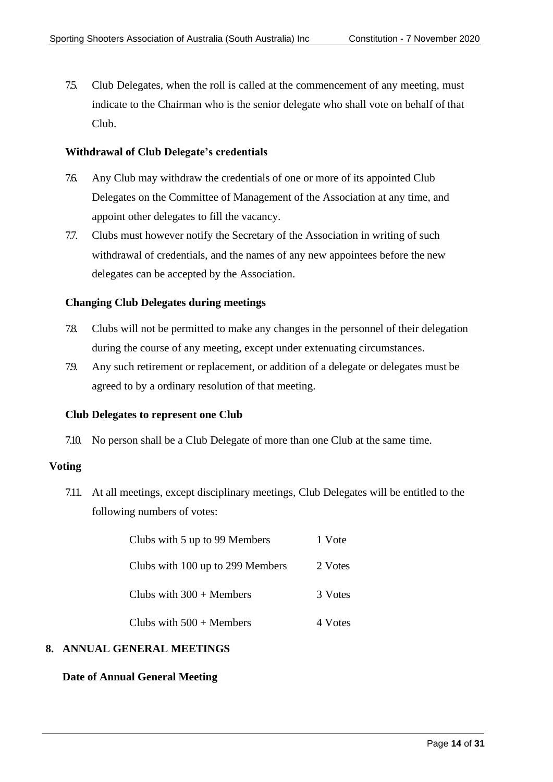<span id="page-13-1"></span>7.5. Club Delegates, when the roll is called at the commencement of any meeting, must indicate to the Chairman who is the senior delegate who shall vote on behalf of that Club.

#### **Withdrawal of Club Delegate's credentials**

- 7.6. Any Club may withdraw the credentials of one or more of its appointed Club Delegates on the Committee of Management of the Association at any time, and appoint other delegates to fill the vacancy.
- 7.7. Clubs must however notify the Secretary of the Association in writing of such withdrawal of credentials, and the names of any new appointees before the new delegates can be accepted by the Association.

#### **Changing Club Delegates during meetings**

- 7.8. Clubs will not be permitted to make any changes in the personnel of their delegation during the course of any meeting, except under extenuating circumstances.
- 7.9. Any such retirement or replacement, or addition of a delegate or delegates must be agreed to by a ordinary resolution of that meeting.

#### **Club Delegates to represent one Club**

7.10. No person shall be a Club Delegate of more than one Club at the same time.

#### <span id="page-13-2"></span>**Voting**

7.11. At all meetings, except disciplinary meetings, Club Delegates will be entitled to the following numbers of votes:

| Clubs with 5 up to 99 Members    | 1 Vote  |
|----------------------------------|---------|
| Clubs with 100 up to 299 Members | 2 Votes |
| Clubs with $300 +$ Members       | 3 Votes |
| Clubs with $500 +$ Members       | 4 Votes |

#### <span id="page-13-0"></span>**8. ANNUAL GENERAL MEETINGS**

#### **Date of Annual General Meeting**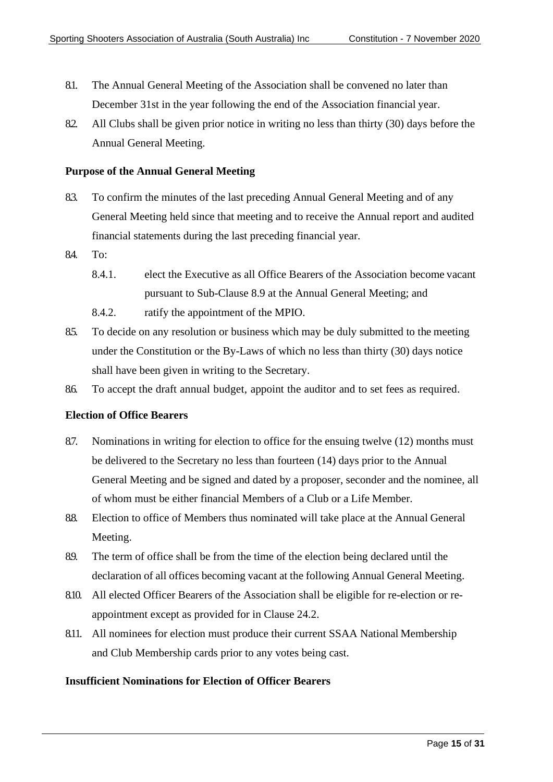- 8.1. The Annual General Meeting of the Association shall be convened no later than December 31st in the year following the end of the Association financial year.
- 8.2. All Clubs shall be given prior notice in writing no less than thirty (30) days before the Annual General Meeting.

#### **Purpose of the Annual General Meeting**

- 8.3. To confirm the minutes of the last preceding Annual General Meeting and of any General Meeting held since that meeting and to receive the Annual report and audited financial statements during the last preceding financial year.
- 8.4. To:
	- 8.4.1. elect the Executive as all Office Bearers of the Association become vacant pursuant to Sub-Clause 8.9 at the Annual General Meeting; and
	- 8.4.2. ratify the appointment of the MPIO.
- 8.5. To decide on any resolution or business which may be duly submitted to the meeting under the Constitution or the By-Laws of which no less than thirty (30) days notice shall have been given in writing to the Secretary.
- 8.6. To accept the draft annual budget, appoint the auditor and to set fees as required.

#### **Election of Office Bearers**

- 8.7. Nominations in writing for election to office for the ensuing twelve (12) months must be delivered to the Secretary no less than fourteen (14) days prior to the Annual General Meeting and be signed and dated by a proposer, seconder and the nominee, all of whom must be either financial Members of a Club or a Life Member.
- 8.8. Election to office of Members thus nominated will take place at the Annual General Meeting.
- 8.9. The term of office shall be from the time of the election being declared until the declaration of all offices becoming vacant at the following Annual General Meeting.
- 8.10. All elected Officer Bearers of the Association shall be eligible for re-election or reappointment except as provided for in Clause 24.2.
- 8.11. All nominees for election must produce their current SSAA National Membership and Club Membership cards prior to any votes being cast.

#### **Insufficient Nominations for Election of Officer Bearers**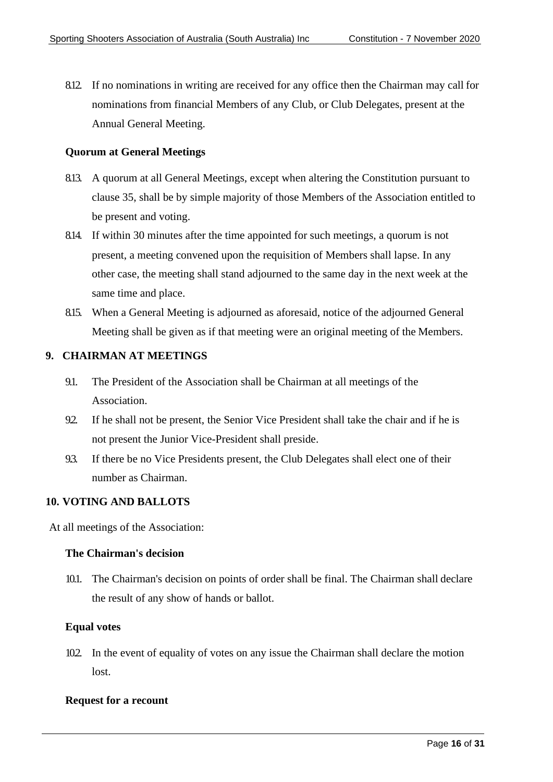8.12. If no nominations in writing are received for any office then the Chairman may call for nominations from financial Members of any Club, or Club Delegates, present at the Annual General Meeting.

#### **Quorum at General Meetings**

- 8.13. A quorum at all General Meetings, except when altering the Constitution pursuant to clause 35, shall be by simple majority of those Members of the Association entitled to be present and voting.
- 8.14. If within 30 minutes after the time appointed for such meetings, a quorum is not present, a meeting convened upon the requisition of Members shall lapse. In any other case, the meeting shall stand adjourned to the same day in the next week at the same time and place.
- 8.15. When a General Meeting is adjourned as aforesaid, notice of the adjourned General Meeting shall be given as if that meeting were an original meeting of the Members.

#### <span id="page-15-0"></span>**9. CHAIRMAN AT MEETINGS**

- 9.1. The President of the Association shall be Chairman at all meetings of the Association.
- 9.2. If he shall not be present, the Senior Vice President shall take the chair and if he is not present the Junior Vice-President shall preside.
- 9.3. If there be no Vice Presidents present, the Club Delegates shall elect one of their number as Chairman.

#### <span id="page-15-1"></span>**10. VOTING AND BALLOTS**

At all meetings of the Association:

#### **The Chairman's decision**

10.1. The Chairman's decision on points of order shall be final. The Chairman shall declare the result of any show of hands or ballot.

#### **Equal votes**

10.2. In the event of equality of votes on any issue the Chairman shall declare the motion lost.

#### **Request for a recount**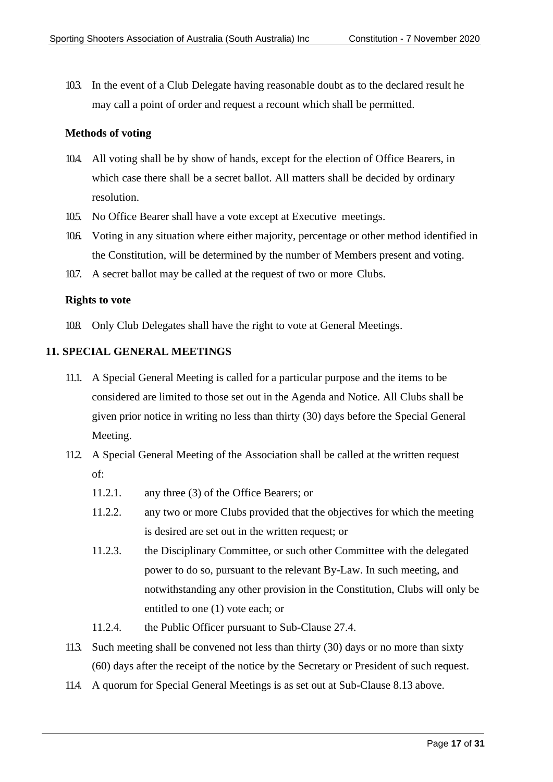10.3. In the event of a Club Delegate having reasonable doubt as to the declared result he may call a point of order and request a recount which shall be permitted.

#### **Methods of voting**

- 10.4. All voting shall be by show of hands, except for the election of Office Bearers, in which case there shall be a secret ballot. All matters shall be decided by ordinary resolution.
- 105. No Office Bearer shall have a vote except at Executive meetings.
- 10.6. Voting in any situation where either majority, percentage or other method identified in the Constitution, will be determined by the number of Members present and voting.
- 10.7. A secret ballot may be called at the request of two or more Clubs.

#### **Rights to vote**

10.8. Only Club Delegates shall have the right to vote at General Meetings.

#### <span id="page-16-0"></span>**11. SPECIAL GENERAL MEETINGS**

- 11.1. A Special General Meeting is called for a particular purpose and the items to be considered are limited to those set out in the Agenda and Notice. All Clubs shall be given prior notice in writing no less than thirty (30) days before the Special General Meeting.
- 11.2. A Special General Meeting of the Association shall be called at the written request of:
	- 11.2.1. any three (3) of the Office Bearers; or
	- 11.2.2. any two or more Clubs provided that the objectives for which the meeting is desired are set out in the written request; or
	- 11.2.3. the Disciplinary Committee, or such other Committee with the delegated power to do so, pursuant to the relevant By-Law. In such meeting, and notwithstanding any other provision in the Constitution, Clubs will only be entitled to one (1) vote each; or
	- 11.2.4. the Public Officer pursuant to Sub-Clause 27.4.
- 11.3. Such meeting shall be convened not less than thirty (30) days or no more than sixty (60) days after the receipt of the notice by the Secretary or President of such request.
- 11.4. A quorum for Special General Meetings is as set out at Sub-Clause 8.13 above.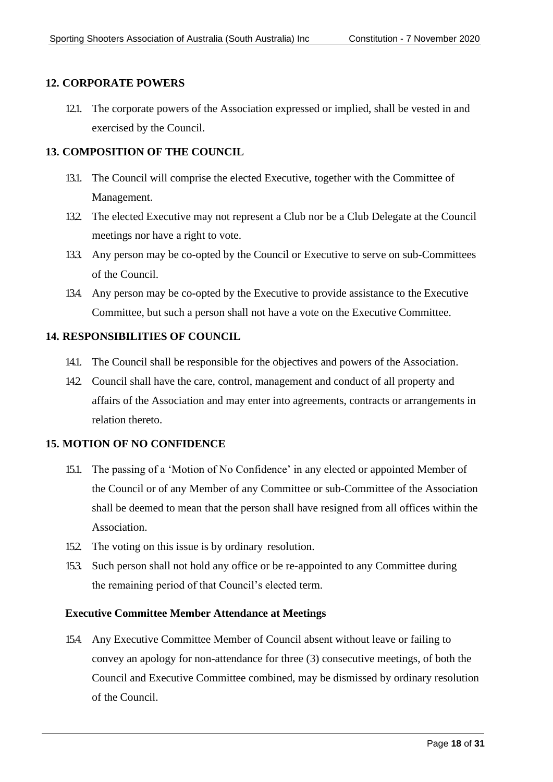#### <span id="page-17-0"></span>**12. CORPORATE POWERS**

12.1. The corporate powers of the Association expressed or implied, shall be vested in and exercised by the Council.

#### <span id="page-17-1"></span>**13. COMPOSITION OF THE COUNCIL**

- 13.1. The Council will comprise the elected Executive, together with the Committee of Management.
- 132. The elected Executive may not represent a Club nor be a Club Delegate at the Council meetings nor have a right to vote.
- 13.3. Any person may be co-opted by the Council or Executive to serve on sub-Committees of the Council.
- 13.4. Any person may be co-opted by the Executive to provide assistance to the Executive Committee, but such a person shall not have a vote on the Executive Committee.

#### <span id="page-17-2"></span>**14. RESPONSIBILITIES OF COUNCIL**

- 14.1. The Council shall be responsible for the objectives and powers of the Association.
- 142. Council shall have the care, control, management and conduct of all property and affairs of the Association and may enter into agreements, contracts or arrangements in relation thereto.

#### <span id="page-17-3"></span>**15. MOTION OF NO CONFIDENCE**

- 15.1. The passing of a 'Motion of No Confidence' in any elected or appointed Member of the Council or of any Member of any Committee or sub-Committee of the Association shall be deemed to mean that the person shall have resigned from all offices within the Association.
- 152. The voting on this issue is by ordinary resolution.
- 153. Such person shall not hold any office or be re-appointed to any Committee during the remaining period of that Council's elected term.

#### **Executive Committee Member Attendance at Meetings**

15.4. Any Executive Committee Member of Council absent without leave or failing to convey an apology for non-attendance for three (3) consecutive meetings, of both the Council and Executive Committee combined, may be dismissed by ordinary resolution of the Council.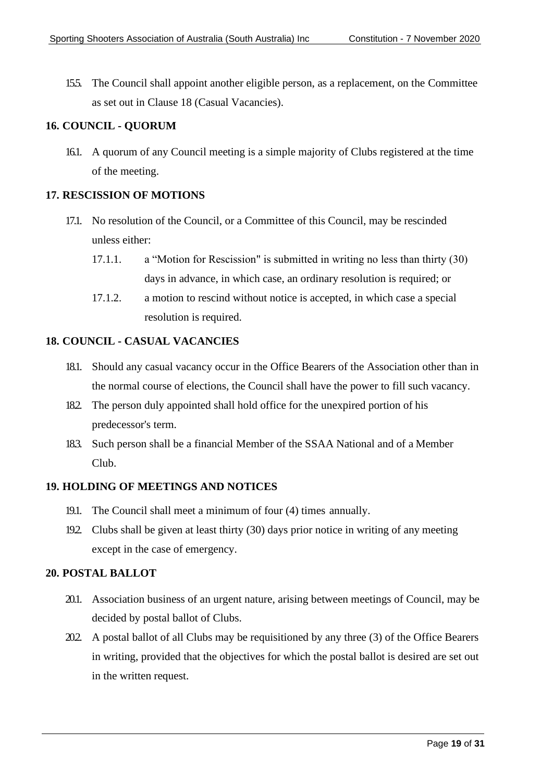15.5. The Council shall appoint another eligible person, as a replacement, on the Committee as set out in Clause 18 (Casual Vacancies).

#### <span id="page-18-0"></span>**16. COUNCIL - QUORUM**

16.1. A quorum of any Council meeting is a simple majority of Clubs registered at the time of the meeting.

#### <span id="page-18-1"></span>**17. RESCISSION OF MOTIONS**

- 17.1. No resolution of the Council, or a Committee of this Council, may be rescinded unless either:
	- 17.1.1. a "Motion for Rescission" is submitted in writing no less than thirty (30) days in advance, in which case, an ordinary resolution is required; or
	- 17.1.2. a motion to rescind without notice is accepted, in which case a special resolution is required.

#### <span id="page-18-2"></span>**18. COUNCIL - CASUAL VACANCIES**

- 18.1. Should any casual vacancy occur in the Office Bearers of the Association other than in the normal course of elections, the Council shall have the power to fill such vacancy.
- 18.2. The person duly appointed shall hold office for the unexpired portion of his predecessor's term.
- 183. Such person shall be a financial Member of the SSAA National and of a Member Club.

#### <span id="page-18-3"></span>**19. HOLDING OF MEETINGS AND NOTICES**

- 19.1. The Council shall meet a minimum of four (4) times annually.
- 19.2. Clubs shall be given at least thirty (30) days prior notice in writing of any meeting except in the case of emergency.

#### <span id="page-18-4"></span>**20. POSTAL BALLOT**

- 20.1. Association business of an urgent nature, arising between meetings of Council, may be decided by postal ballot of Clubs.
- 20.2. A postal ballot of all Clubs may be requisitioned by any three (3) of the Office Bearers in writing, provided that the objectives for which the postal ballot is desired are set out in the written request.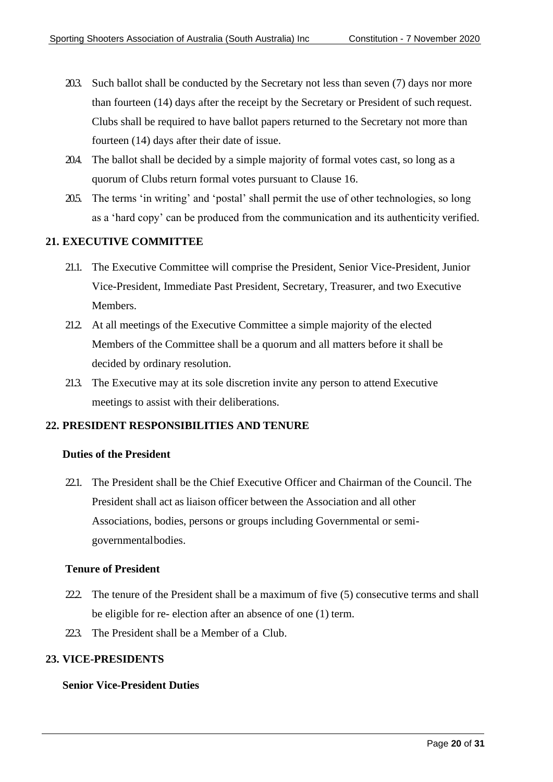- 20.3. Such ballot shall be conducted by the Secretary not less than seven (7) days nor more than fourteen (14) days after the receipt by the Secretary or President of such request. Clubs shall be required to have ballot papers returned to the Secretary not more than fourteen (14) days after their date of issue.
- 20.4. The ballot shall be decided by a simple majority of formal votes cast, so long as a quorum of Clubs return formal votes pursuant to Clause 16.
- 205. The terms 'in writing' and 'postal' shall permit the use of other technologies, so long as a 'hard copy' can be produced from the communication and its authenticity verified.

#### <span id="page-19-0"></span>**21. EXECUTIVE COMMITTEE**

- 21.1. The Executive Committee will comprise the President, Senior Vice-President, Junior Vice-President, Immediate Past President, Secretary, Treasurer, and two Executive Members.
- 212. At all meetings of the Executive Committee a simple majority of the elected Members of the Committee shall be a quorum and all matters before it shall be decided by ordinary resolution.
- 213. The Executive may at its sole discretion invite any person to attend Executive meetings to assist with their deliberations.

#### <span id="page-19-1"></span>**22. PRESIDENT RESPONSIBILITIES AND TENURE**

#### **Duties of the President**

22.1. The President shall be the Chief Executive Officer and Chairman of the Council. The President shall act as liaison officer between the Association and all other Associations, bodies, persons or groups including Governmental or semigovernmentalbodies.

#### **Tenure of President**

- 22. The tenure of the President shall be a maximum of five  $(5)$  consecutive terms and shall be eligible for re- election after an absence of one (1) term.
- 22.3. The President shall be a Member of a Club.

#### <span id="page-19-2"></span>**23. VICE-PRESIDENTS**

#### **Senior Vice-President Duties**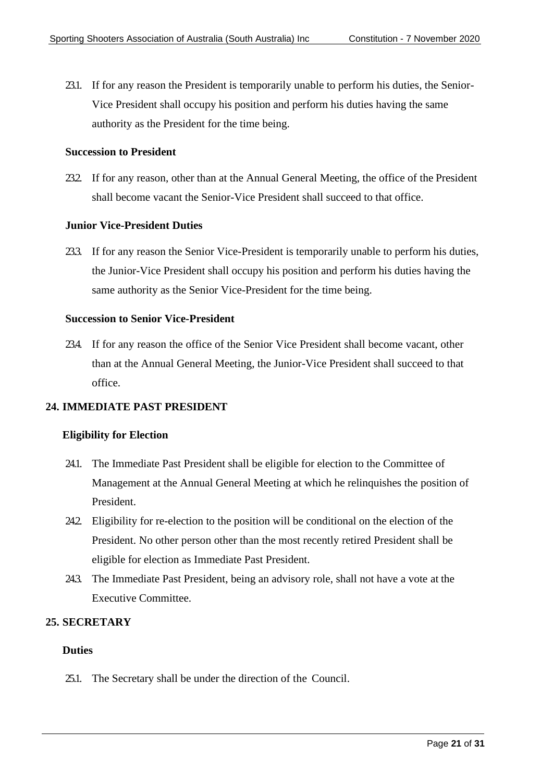23.1. If for any reason the President is temporarily unable to perform his duties, the Senior-Vice President shall occupy his position and perform his duties having the same authority as the President for the time being.

#### **Succession to President**

23.2. If for any reason, other than at the Annual General Meeting, the office of the President shall become vacant the Senior-Vice President shall succeed to that office.

#### **Junior Vice-President Duties**

23.3. If for any reason the Senior Vice-President is temporarily unable to perform his duties, the Junior-Vice President shall occupy his position and perform his duties having the same authority as the Senior Vice-President for the time being.

#### **Succession to Senior Vice-President**

23.4. If for any reason the office of the Senior Vice President shall become vacant, other than at the Annual General Meeting, the Junior-Vice President shall succeed to that office.

#### <span id="page-20-0"></span>**24. IMMEDIATE PAST PRESIDENT**

#### **Eligibility for Election**

- 24.1. The Immediate Past President shall be eligible for election to the Committee of Management at the Annual General Meeting at which he relinquishes the position of President.
- 24.2. Eligibility for re-election to the position will be conditional on the election of the President. No other person other than the most recently retired President shall be eligible for election as Immediate Past President.
- 24.3. The Immediate Past President, being an advisory role, shall not have a vote at the Executive Committee.

#### <span id="page-20-1"></span>**25. SECRETARY**

#### **Duties**

25.1. The Secretary shall be under the direction of the Council.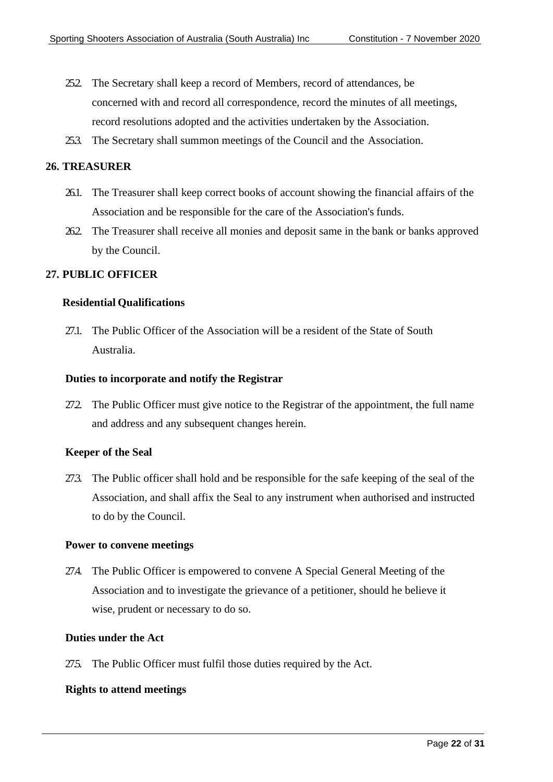- 25.2. The Secretary shall keep a record of Members, record of attendances, be concerned with and record all correspondence, record the minutes of all meetings, record resolutions adopted and the activities undertaken by the Association.
- 25.3. The Secretary shall summon meetings of the Council and the Association.

#### <span id="page-21-0"></span>**26. TREASURER**

- 26.1. The Treasurer shall keep correct books of account showing the financial affairs of the Association and be responsible for the care of the Association's funds.
- 26.2. The Treasurer shall receive all monies and deposit same in the bank or banks approved by the Council.

#### <span id="page-21-1"></span>**27. PUBLIC OFFICER**

#### **Residential Qualifications**

27.1. The Public Officer of the Association will be a resident of the State of South Australia.

#### **Duties to incorporate and notify the Registrar**

27.2. The Public Officer must give notice to the Registrar of the appointment, the full name and address and any subsequent changes herein.

#### **Keeper of the Seal**

27.3. The Public officer shall hold and be responsible for the safe keeping of the seal of the Association, and shall affix the Seal to any instrument when authorised and instructed to do by the Council.

#### **Power to convene meetings**

27.4. The Public Officer is empowered to convene A Special General Meeting of the Association and to investigate the grievance of a petitioner, should he believe it wise, prudent or necessary to do so.

#### **Duties under the Act**

275. The Public Officer must fulfil those duties required by the Act.

#### **Rights to attend meetings**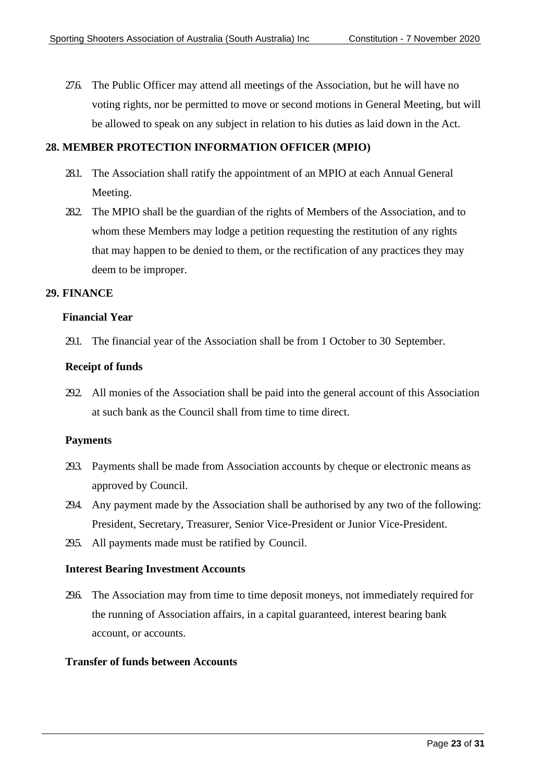27.6. The Public Officer may attend all meetings of the Association, but he will have no voting rights, nor be permitted to move or second motions in General Meeting, but will be allowed to speak on any subject in relation to his duties as laid down in the Act.

#### <span id="page-22-0"></span>**28. MEMBER PROTECTION INFORMATION OFFICER (MPIO)**

- 28.1. The Association shall ratify the appointment of an MPIO at each Annual General Meeting.
- 282. The MPIO shall be the guardian of the rights of Members of the Association, and to whom these Members may lodge a petition requesting the restitution of any rights that may happen to be denied to them, or the rectification of any practices they may deem to be improper.

#### <span id="page-22-1"></span>**29. FINANCE**

#### **Financial Year**

29.1. The financial year of the Association shall be from 1 October to 30 September.

#### **Receipt of funds**

29.2. All monies of the Association shall be paid into the general account of this Association at such bank as the Council shall from time to time direct.

#### **Payments**

- 29.3. Payments shall be made from Association accounts by cheque or electronic means as approved by Council.
- 29.4. Any payment made by the Association shall be authorised by any two of the following: President, Secretary, Treasurer, Senior Vice-President or Junior Vice-President.
- 295. All payments made must be ratified by Council.

#### **Interest Bearing Investment Accounts**

29.6. The Association may from time to time deposit moneys, not immediately required for the running of Association affairs, in a capital guaranteed, interest bearing bank account, or accounts.

#### **Transfer of funds between Accounts**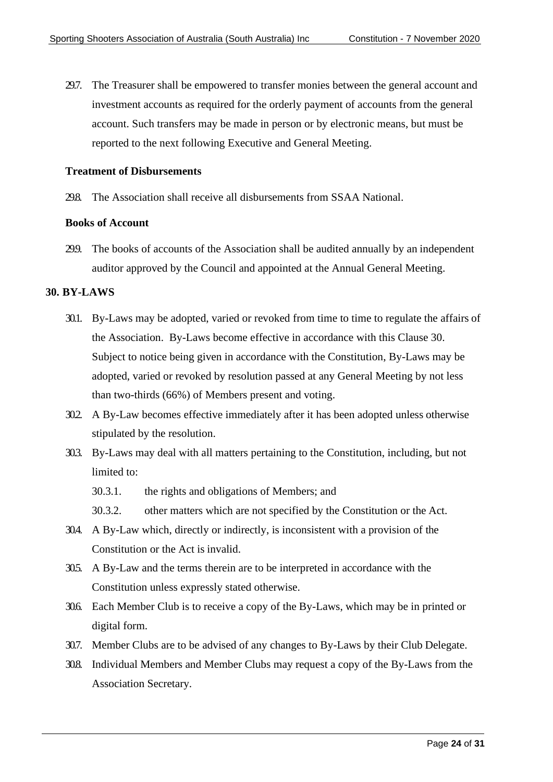29.7. The Treasurer shall be empowered to transfer monies between the general account and investment accounts as required for the orderly payment of accounts from the general account. Such transfers may be made in person or by electronic means, but must be reported to the next following Executive and General Meeting.

#### **Treatment of Disbursements**

29.8. The Association shall receive all disbursements from SSAA National.

#### **Books of Account**

299. The books of accounts of the Association shall be audited annually by an independent auditor approved by the Council and appointed at the Annual General Meeting.

#### <span id="page-23-0"></span>**30. BY-LAWS**

- 30.1. By-Laws may be adopted, varied or revoked from time to time to regulate the affairs of the Association. By-Laws become effective in accordance with this Clause 30. Subject to notice being given in accordance with the Constitution, By-Laws may be adopted, varied or revoked by resolution passed at any General Meeting by not less than two-thirds (66%) of Members present and voting.
- 30.2. A By-Law becomes effective immediately after it has been adopted unless otherwise stipulated by the resolution.
- 30.3. By-Laws may deal with all matters pertaining to the Constitution, including, but not limited to:
	- 30.3.1. the rights and obligations of Members; and
	- 30.3.2. other matters which are not specified by the Constitution or the Act.
- 30.4. A By-Law which, directly or indirectly, is inconsistent with a provision of the Constitution or the Act is invalid.
- 30.5. A By-Law and the terms therein are to be interpreted in accordance with the Constitution unless expressly stated otherwise.
- 30.6. Each Member Club is to receive a copy of the By-Laws, which may be in printed or digital form.
- 30.7. Member Clubs are to be advised of any changes to By-Laws by their Club Delegate.
- 30.8. Individual Members and Member Clubs may request a copy of the By-Laws from the Association Secretary.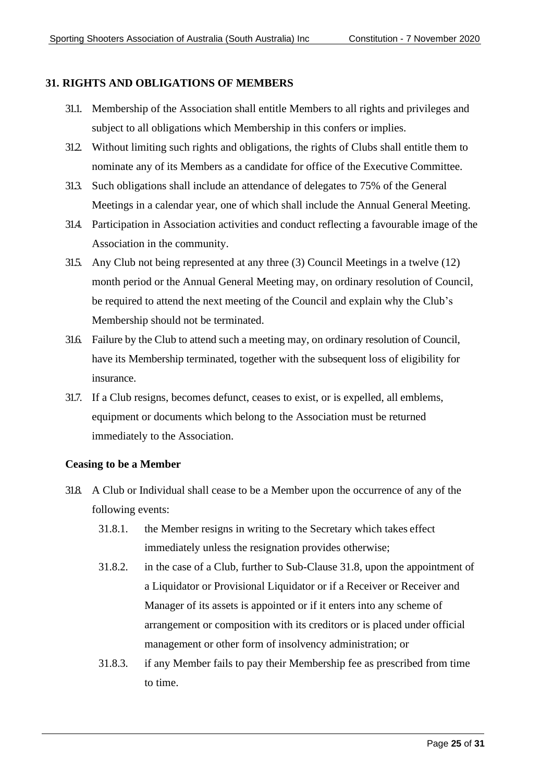#### <span id="page-24-0"></span>**31. RIGHTS AND OBLIGATIONS OF MEMBERS**

- 31.1. Membership of the Association shall entitle Members to all rights and privileges and subject to all obligations which Membership in this confers or implies.
- 31.2. Without limiting such rights and obligations, the rights of Clubs shall entitle them to nominate any of its Members as a candidate for office of the Executive Committee.
- 31.3. Such obligations shall include an attendance of delegates to 75% of the General Meetings in a calendar year, one of which shall include the Annual General Meeting.
- 31.4. Participation in Association activities and conduct reflecting a favourable image of the Association in the community.
- 31.5. Any Club not being represented at any three  $(3)$  Council Meetings in a twelve  $(12)$ month period or the Annual General Meeting may, on ordinary resolution of Council, be required to attend the next meeting of the Council and explain why the Club's Membership should not be terminated.
- 31.6. Failure by the Club to attend such a meeting may, on ordinary resolution of Council, have its Membership terminated, together with the subsequent loss of eligibility for insurance.
- 31.7. If a Club resigns, becomes defunct, ceases to exist, or is expelled, all emblems, equipment or documents which belong to the Association must be returned immediately to the Association.

#### **Ceasing to be a Member**

- 31.8. A Club or Individual shall cease to be a Member upon the occurrence of any of the following events:
	- 31.8.1. the Member resigns in writing to the Secretary which takes effect immediately unless the resignation provides otherwise;
	- 31.8.2. in the case of a Club, further to Sub-Clause 31.8, upon the appointment of a Liquidator or Provisional Liquidator or if a Receiver or Receiver and Manager of its assets is appointed or if it enters into any scheme of arrangement or composition with its creditors or is placed under official management or other form of insolvency administration; or
	- 31.8.3. if any Member fails to pay their Membership fee as prescribed from time to time.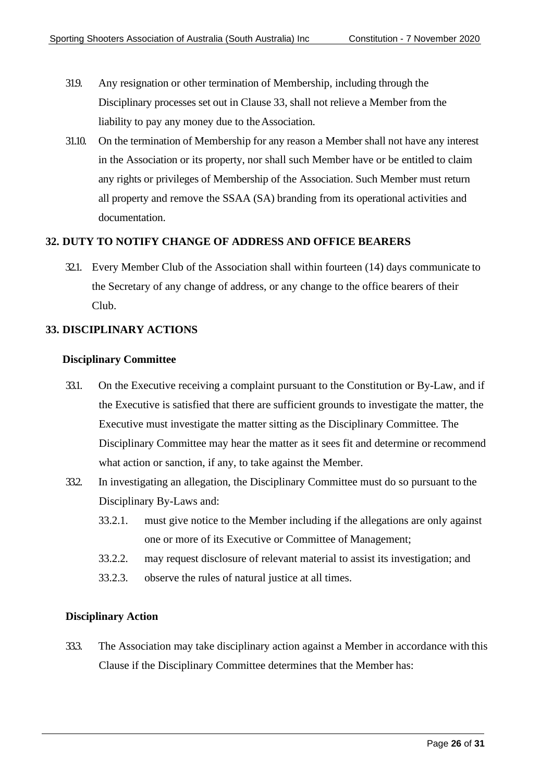- 319. Any resignation or other termination of Membership, including through the Disciplinary processes set out in Clause 33, shall not relieve a Member from the liability to pay any money due to theAssociation.
- 31.10. On the termination of Membership for any reason a Member shall not have any interest in the Association or its property, nor shall such Member have or be entitled to claim any rights or privileges of Membership of the Association. Such Member must return all property and remove the SSAA (SA) branding from its operational activities and documentation.

#### <span id="page-25-0"></span>**32. DUTY TO NOTIFY CHANGE OF ADDRESS AND OFFICE BEARERS**

32.1. Every Member Club of the Association shall within fourteen (14) days communicate to the Secretary of any change of address, or any change to the office bearers of their Club.

#### <span id="page-25-1"></span>**33. DISCIPLINARY ACTIONS**

#### **Disciplinary Committee**

- <span id="page-25-3"></span>33.1. On the Executive receiving a complaint pursuant to the Constitution or By-Law, and if the Executive is satisfied that there are sufficient grounds to investigate the matter, the Executive must investigate the matter sitting as the Disciplinary Committee. The Disciplinary Committee may hear the matter as it sees fit and determine or recommend what action or sanction, if any, to take against the Member.
- 33.2. In investigating an allegation, the Disciplinary Committee must do so pursuant to the Disciplinary By-Laws and:
	- 33.2.1. must give notice to the Member including if the allegations are only against one or more of its Executive or Committee of Management;
	- 33.2.2. may request disclosure of relevant material to assist its investigation; and
	- 33.2.3. observe the rules of natural justice at all times.

#### **Disciplinary Action**

<span id="page-25-2"></span>33.3. The Association may take disciplinary action against a Member in accordance with this Clause if the Disciplinary Committee determines that the Member has: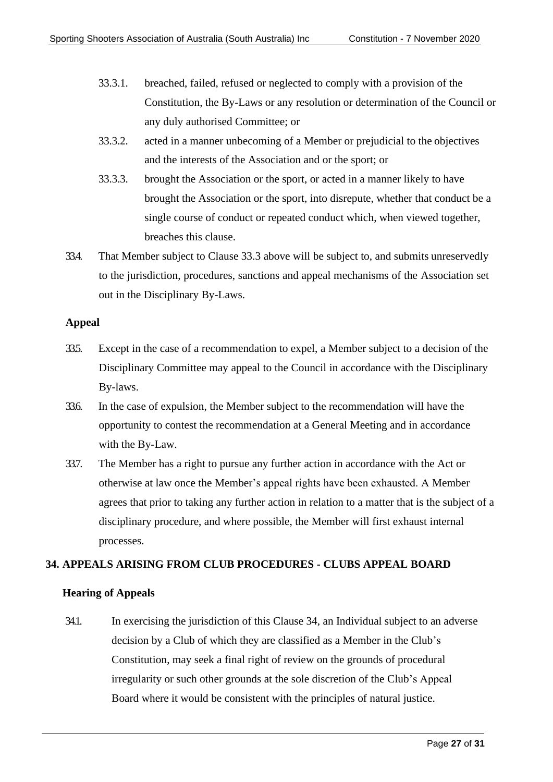- 33.3.1. breached, failed, refused or neglected to comply with a provision of the Constitution, the By-Laws or any resolution or determination of the Council or any duly authorised Committee; or
- 33.3.2. acted in a manner unbecoming of a Member or prejudicial to the objectives and the interests of the Association and or the sport; or
- 33.3.3. brought the Association or the sport, or acted in a manner likely to have brought the Association or the sport, into disrepute, whether that conduct be a single course of conduct or repeated conduct which, when viewed together, breaches this clause.
- 33.4. That Member subject to Clause 33.3 above will be subject to, and submits unreservedly to the jurisdiction, procedures, sanctions and appeal mechanisms of the Association set out in the Disciplinary By-Laws.

#### **Appeal**

- 33.5. Except in the case of a recommendation to expel, a Member subject to a decision of the Disciplinary Committee may appeal to the Council in accordance with the Disciplinary By-laws.
- 33.6. In the case of expulsion, the Member subject to the recommendation will have the opportunity to contest the recommendation at a General Meeting and in accordance with the By-Law.
- 33.7. The Member has a right to pursue any further action in accordance with the Act or otherwise at law once the Member's appeal rights have been exhausted. A Member agrees that prior to taking any further action in relation to a matter that is the subject of a disciplinary procedure, and where possible, the Member will first exhaust internal processes.

#### <span id="page-26-0"></span>**34. APPEALS ARISING FROM CLUB PROCEDURES - CLUBS APPEAL BOARD**

#### **Hearing of Appeals**

34.1. In exercising the jurisdiction of this Clause 34, an Individual subject to an adverse decision by a Club of which they are classified as a Member in the Club's Constitution, may seek a final right of review on the grounds of procedural irregularity or such other grounds at the sole discretion of the Club's Appeal Board where it would be consistent with the principles of natural justice.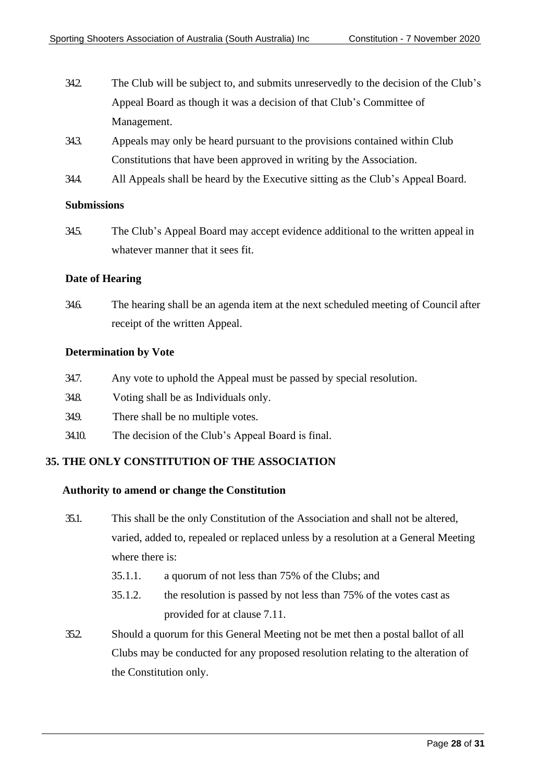- 34.2. The Club will be subject to, and submits unreservedly to the decision of the Club's Appeal Board as though it was a decision of that Club's Committee of Management.
- 34.3. Appeals may only be heard pursuant to the provisions contained within Club Constitutions that have been approved in writing by the Association.
- 34.4. All Appeals shall be heard by the Executive sitting as the Club's Appeal Board.

#### **Submissions**

34.5. The Club's Appeal Board may accept evidence additional to the written appeal in whatever manner that it sees fit.

#### **Date of Hearing**

34.6. The hearing shall be an agenda item at the next scheduled meeting of Council after receipt of the written Appeal.

#### **Determination by Vote**

- 34.7. Any vote to uphold the Appeal must be passed by special resolution.
- 34.8. Voting shall be as Individuals only.
- 349. There shall be no multiple votes.
- 34.10. The decision of the Club's Appeal Board is final.

#### <span id="page-27-0"></span>**35. THE ONLY CONSTITUTION OF THE ASSOCIATION**

#### **Authority to amend or change the Constitution**

- 35.1. This shall be the only Constitution of the Association and shall not be altered, varied, added to, repealed or replaced unless by a resolution at a General Meeting where there is:
	- 35.1.1. a quorum of not less than 75% of the Clubs; and
	- 35.1.2. the resolution is passed by not less than 75% of the votes cast as provided for at clause [7.11.](#page-13-2)
- 35.2. Should a quorum for this General Meeting not be met then a postal ballot of all Clubs may be conducted for any proposed resolution relating to the alteration of the Constitution only.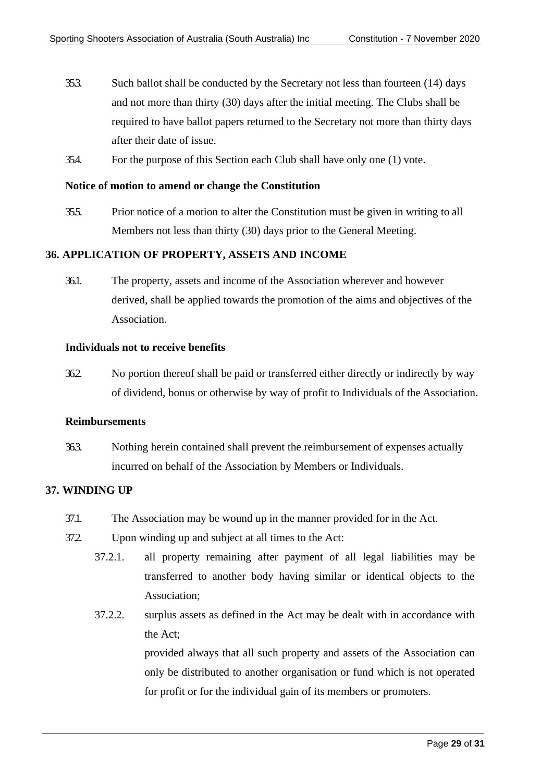- 35.3. Such ballot shall be conducted by the Secretary not less than fourteen (14) days and not more than thirty (30) days after the initial meeting. The Clubs shall be required to have ballot papers returned to the Secretary not more than thirty days after their date of issue.
- 35.4. For the purpose of this Section each Club shall have only one (1) vote.

#### **Notice of motion to amend or change the Constitution**

35.5. Prior notice of a motion to alter the Constitution must be given in writing to all Members not less than thirty (30) days prior to the General Meeting.

#### <span id="page-28-0"></span>**36. APPLICATION OF PROPERTY, ASSETS AND INCOME**

36.1. The property, assets and income of the Association wherever and however derived, shall be applied towards the promotion of the aims and objectives of the Association.

#### **Individuals not to receive benefits**

36.2. No portion thereof shall be paid or transferred either directly or indirectly by way of dividend, bonus or otherwise by way of profit to Individuals of the Association.

#### **Reimbursements**

36.3. Nothing herein contained shall prevent the reimbursement of expenses actually incurred on behalf of the Association by Members or Individuals.

#### <span id="page-28-1"></span>**37. WINDING UP**

- 37.1. The Association may be wound up in the manner provided for in the Act.
- 37.2. Upon winding up and subject at all times to the Act:
	- 37.2.1. all property remaining after payment of all legal liabilities may be transferred to another body having similar or identical objects to the Association;
	- 37.2.2. surplus assets as defined in the Act may be dealt with in accordance with the Act;

provided always that all such property and assets of the Association can only be distributed to another organisation or fund which is not operated for profit or for the individual gain of its members or promoters.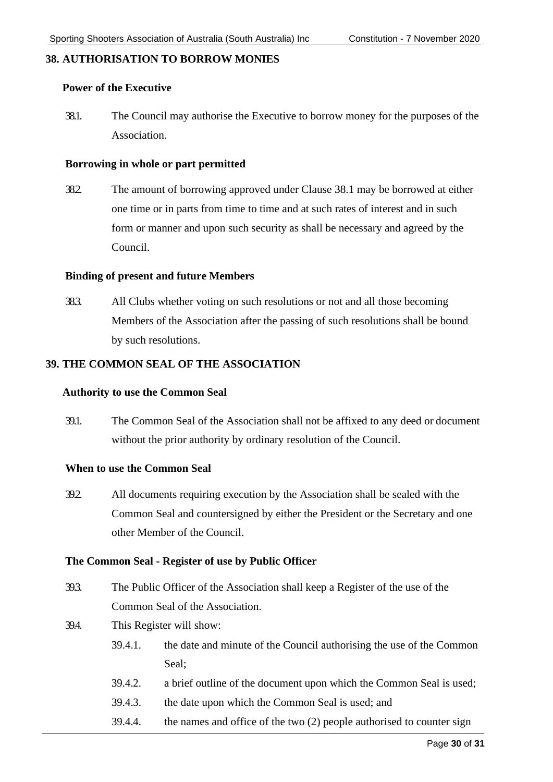#### <span id="page-29-0"></span>**38. AUTHORISATION TO BORROW MONIES**

#### **Power of the Executive**

38.1. The Council may authorise the Executive to borrow money for the purposes of the Association.

#### **Borrowing in whole or part permitted**

38.2. The amount of borrowing approved under Clause 38.1 may be borrowed at either one time or in parts from time to time and at such rates of interest and in such form or manner and upon such security as shall be necessary and agreed by the Council.

#### **Binding of present and future Members**

38.3. All Clubs whether voting on such resolutions or not and all those becoming Members of the Association after the passing of such resolutions shall be bound by such resolutions.

#### <span id="page-29-1"></span>**39. THE COMMON SEAL OF THE ASSOCIATION**

#### **Authority to use the Common Seal**

39.1. The Common Seal of the Association shall not be affixed to any deed or document without the prior authority by ordinary resolution of the Council.

#### **When to use the Common Seal**

39.2. All documents requiring execution by the Association shall be sealed with the Common Seal and countersigned by either the President or the Secretary and one other Member of the Council.

#### **The Common Seal - Register of use by Public Officer**

- 39.3. The Public Officer of the Association shall keep a Register of the use of the Common Seal of the Association.
- 39.4. This Register will show:
	- 39.4.1. the date and minute of the Council authorising the use of the Common Seal;
	- 39.4.2. a brief outline of the document upon which the Common Seal is used;
	- 39.4.3. the date upon which the Common Seal is used; and
	- 39.4.4. the names and office of the two (2) people authorised to counter sign